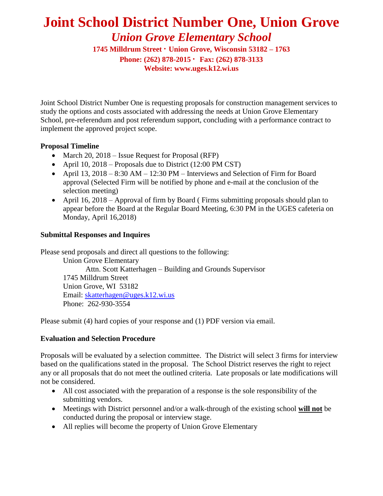# **Joint School District Number One, Union Grove** *Union Grove Elementary School*

**1745 Milldrum Street · Union Grove, Wisconsin 53182 – 1763 Phone: (262) 878-2015 ∙ Fax: (262) 878-3133 Website: www.uges.k12.wi.us**

Joint School District Number One is requesting proposals for construction management services to study the options and costs associated with addressing the needs at Union Grove Elementary School, pre-referendum and post referendum support, concluding with a performance contract to implement the approved project scope.

## **Proposal Timeline**

- March 20, 2018 Issue Request for Proposal (RFP)
- April 10, 2018 Proposals due to District (12:00 PM CST)
- April 13, 2018 8:30 AM 12:30 PM Interviews and Selection of Firm for Board approval (Selected Firm will be notified by phone and e-mail at the conclusion of the selection meeting)
- April 16, 2018 Approval of firm by Board (Firms submitting proposals should plan to appear before the Board at the Regular Board Meeting, 6:30 PM in the UGES cafeteria on Monday, April 16,2018)

# **Submittal Responses and Inquires**

Please send proposals and direct all questions to the following: Union Grove Elementary Attn. Scott Katterhagen – Building and Grounds Supervisor 1745 Milldrum Street Union Grove, WI 53182 Email: [skatterhagen@uges.k12.wi.us](mailto:skatterhagen@uges.k12.wi.us) Phone: 262-930-3554

Please submit (4) hard copies of your response and (1) PDF version via email.

# **Evaluation and Selection Procedure**

Proposals will be evaluated by a selection committee. The District will select 3 firms for interview based on the qualifications stated in the proposal. The School District reserves the right to reject any or all proposals that do not meet the outlined criteria. Late proposals or late modifications will not be considered.

- All cost associated with the preparation of a response is the sole responsibility of the submitting vendors.
- Meetings with District personnel and/or a walk-through of the existing school **will not** be conducted during the proposal or interview stage.
- All replies will become the property of Union Grove Elementary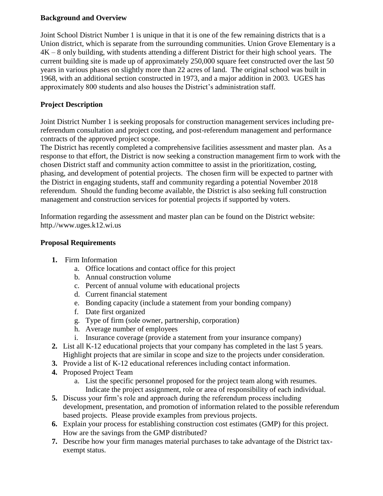#### **Background and Overview**

Joint School District Number 1 is unique in that it is one of the few remaining districts that is a Union district, which is separate from the surrounding communities. Union Grove Elementary is a  $4K - 8$  only building, with students attending a different District for their high school years. The current building site is made up of approximately 250,000 square feet constructed over the last 50 years in various phases on slightly more than 22 acres of land. The original school was built in 1968, with an additional section constructed in 1973, and a major addition in 2003. UGES has approximately 800 students and also houses the District's administration staff.

# **Project Description**

Joint District Number 1 is seeking proposals for construction management services including prereferendum consultation and project costing, and post-referendum management and performance contracts of the approved project scope.

The District has recently completed a comprehensive facilities assessment and master plan. As a response to that effort, the District is now seeking a construction management firm to work with the chosen District staff and community action committee to assist in the prioritization, costing, phasing, and development of potential projects. The chosen firm will be expected to partner with the District in engaging students, staff and community regarding a potential November 2018 referendum. Should the funding become available, the District is also seeking full construction management and construction services for potential projects if supported by voters.

Information regarding the assessment and master plan can be found on the District website: http.//www.uges.k12.wi.us

## **Proposal Requirements**

- **1.** Firm Information
	- a. Office locations and contact office for this project
	- b. Annual construction volume
	- c. Percent of annual volume with educational projects
	- d. Current financial statement
	- e. Bonding capacity (include a statement from your bonding company)
	- f. Date first organized
	- g. Type of firm (sole owner, partnership, corporation)
	- h. Average number of employees
	- i. Insurance coverage (provide a statement from your insurance company)
- **2.** List all K-12 educational projects that your company has completed in the last 5 years. Highlight projects that are similar in scope and size to the projects under consideration.
- **3.** Provide a list of K-12 educational references including contact information.
- **4.** Proposed Project Team
	- a. List the specific personnel proposed for the project team along with resumes. Indicate the project assignment, role or area of responsibility of each individual.
- **5.** Discuss your firm's role and approach during the referendum process including development, presentation, and promotion of information related to the possible referendum based projects. Please provide examples from previous projects.
- **6.** Explain your process for establishing construction cost estimates (GMP) for this project. How are the savings from the GMP distributed?
- **7.** Describe how your firm manages material purchases to take advantage of the District taxexempt status.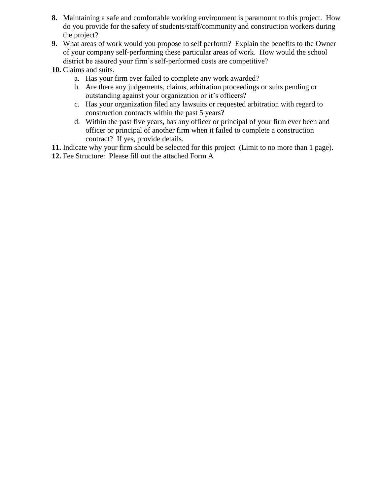- **8.** Maintaining a safe and comfortable working environment is paramount to this project. How do you provide for the safety of students/staff/community and construction workers during the project?
- **9.** What areas of work would you propose to self perform? Explain the benefits to the Owner of your company self-performing these particular areas of work. How would the school district be assured your firm's self-performed costs are competitive?
- **10.** Claims and suits.
	- a. Has your firm ever failed to complete any work awarded?
	- b. Are there any judgements, claims, arbitration proceedings or suits pending or outstanding against your organization or it's officers?
	- c. Has your organization filed any lawsuits or requested arbitration with regard to construction contracts within the past 5 years?
	- d. Within the past five years, has any officer or principal of your firm ever been and officer or principal of another firm when it failed to complete a construction contract? If yes, provide details.

**11.** Indicate why your firm should be selected for this project (Limit to no more than 1 page).

**12.** Fee Structure: Please fill out the attached Form A